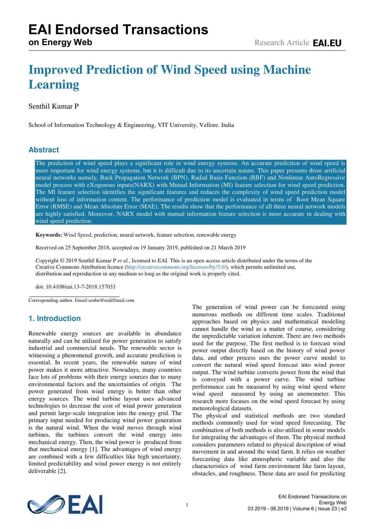# **Improved Prediction of Wind Speed using Machine Learning**

## Senthil Kumar P

School of Information Technology & Engineering, VIT University, Vellore. India

## **Abstract**

The prediction of wind speed plays a significant role in wind energy systems. An accurate prediction of wind speed is more important for wind energy systems, but it is difficult due to its uncertain nature. This paper presents three artificial neural networks namely, Back Propagation Network (BPN), Radial Basis Function (RBF) and Nonlinear AutoRegressive model process with eXogenous inputs(NARX) with Mutual Information (MI) feature selection for wind speed prediction. The MI feature selection identifies the significant features and reduces the complexity of wind speed prediction model without loss of information content. The performance of prediction model is evaluated in terms of Root Mean Square Error (RMSE) and Mean Absolute Error (MAE). The results show that the performance of all three neural network models are highly satisfied. Moreover, NARX model with mutual information feature selection is more accurate in dealing with wind speed prediction.

**Keywords:** Wind Speed, prediction, neural network, feature selection, renewable energy

Received on 25 September 2018, accepted on 19 January 2019, published on 21 March 2019

Copyright © 2019 Senthil Kumar P *et al.*, licensed to EAI. This is an open access article distributed under the terms of the Creative Commons Attribution licence [\(http://creativecommons.org/licenses/by/3.0/\),](http://creativecommons.org/licenses/by/3.0/) which permits unlimited use, distribution and reproduction in any medium so long as the original work is properly cited.

doi: 10.4108/eai.13-7-2018.157033

Corresponding author. Email:senbe@rediffmail.com

# **1. Introduction**

Renewable energy sources are available in abundance naturally and can be utilized for power generation to satisfy industrial and commercial needs. The renewable sector is witnessing a phenomenal growth, and accurate prediction is essential. In recent years, the renewable nature of wind power makes it more attractive. Nowadays, many countries face lots of problems with their energy sources due to many environmental factors and the uncertainties of origin. The power generated from wind energy is better than other energy sources. The wind turbine layout uses advanced technologies to decrease the cost of wind power generation and permit large-scale integration into the energy grid. The primary input needed for producing wind power generation is the natural wind. When the wind moves through wind turbines, the turbines convert the wind energy into mechanical energy. Then, the wind power is produced from that mechanical energy [1]. The advantages of wind energy are combined with a few difficulties like high uncertainty, limited predictability and wind power energy is not entirely deliverable [2].

The generation of wind power can be forecasted using numerous methods on different time scales. Traditional approaches based on physics and mathematical modeling cannot handle the wind as a matter of course, considering the unpredictable variation inherent. There are two methods used for the purpose. The first method is to forecast wind power output directly based on the history of wind power data, and other process uses the power curve model to convert the natural wind speed forecast into wind power output. The wind turbine converts power from the wind that is conveyed with a power curve. The wind turbine performance can be measured by using wind speed where wind speed measured by using an anemometer. This research more focuses on the wind speed forecast by using meteorological datasets.

The physical and statistical methods are two standard methods commonly used for wind speed forecasting. The combination of both methods is also utilized in some models for integrating the advantages of them. The physical method considers parameters related to physical description of wind movement in and around the wind farm. It relies on weather forecasting data like atmospheric variable and also the characteristics of wind farm environment like farm layout, obstacles, and roughness. These data are used for predicting

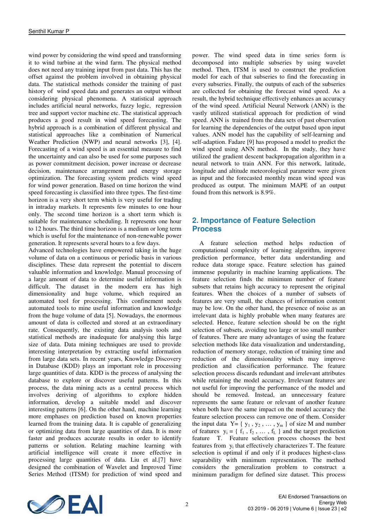wind power by considering the wind speed and transforming it to wind turbine at the wind farm. The physical method does not need any training input from past data. This has the offset against the problem involved in obtaining physical data. The statistical methods consider the training of past history of wind speed data and generates an output without considering physical phenomena. A statistical approach includes artificial neural networks, fuzzy logic, regression tree and support vector machine etc. The statistical approach produces a good result in wind speed forecasting. The hybrid approach is a combination of different physical and statistical approaches like a combination of Numerical Weather Prediction (NWP) and neural networks [3], [4]. Forecasting of a wind speed is an essential measure to find the uncertainty and can also be used for some purposes such as power commitment decision, power increase or decrease decision, maintenance arrangement and energy storage optimization. The forecasting system predicts wind speed for wind power generation. Based on time horizon the wind speed forecasting is classified into three types. The first-time horizon is a very short term which is very useful for trading in intraday markets. It represents few minutes to one hour only. The second time horizon is a short term which is suitable for maintenance scheduling. It represents one hour to 12 hours. The third time horizon is a medium or long term which is useful for the maintenance of non-renewable power generation. It represents several hours to a few days.

Advanced technologies have empowered taking in the huge volume of data on a continuous or periodic basis in various disciplines. These data represent the potential to discern valuable information and knowledge. Manual processing of a large amount of data to determine useful information is difficult. The dataset in the modern era has high dimensionality and huge volume, which required an automated tool for processing. This confinement needs automated tools to mine useful information and knowledge from the huge volume of data [5]. Nowadays, the enormous amount of data is collected and stored at an extraordinary rate. Consequently, the existing data analysis tools and statistical methods are inadequate for analysing this large size of data. Data mining techniques are used to provide interesting interpretation by extracting useful information from large data sets. In recent years, Knowledge Discovery in Database (KDD) plays an important role in processing large quantities of data. KDD is the process of analysing the database to explore or discover useful patterns. In this process, the data mining acts as a central process which involves deriving of algorithms to explore hidden information, develop a suitable model and discover interesting patterns [6]. On the other hand, machine learning more emphases on prediction based on known properties learned from the training data. It is capable of generalizing or optimizing data from large quantities of data. It is more faster and produces accurate results in order to identify patterns or solution. Relating machine learning with artificial intelligence will create it more effective in processing large quantities of data. Liu et al.[7] have designed the combination of Wavelet and Improved Time Series Method (ITSM) for prediction of wind speed and power. The wind speed data in time series form is decomposed into multiple subseries by using wavelet method. Then, ITSM is used to construct the prediction model for each of that subseries to find the forecasting in every subseries. Finally, the outputs of each of the subseries are collected for obtaining the forecast wind speed. As a result, the hybrid technique effectively enhances an accuracy of the wind speed. Artificial Neural Network (ANN) is the vastly utilized statistical approach for prediction of wind speed. ANN is trained from the data sets of past observation for learning the dependencies of the output based upon input values. ANN model has the capability of self-learning and self-adaption. Fadare [9] has proposed a model to predict the wind speed using ANN method. In the study, they have utilized the gradient descent backpropagation algorithm in a neural network to train ANN. For this network, latitude, longitude and altitude meteorological parameter were given as input and the forecasted monthly mean wind speed was produced as output. The minimum MAPE of an output found from this network is 8.9%.

# **2. Importance of Feature Selection Process**

A feature selection method helps reduction of computational complexity of learning algorithm, improve prediction performance, better data understanding and reduce data storage space. Feature selection has gained immense popularity in machine learning applications. The feature selection finds the minimum number of feature subsets that retains high accuracy to represent the original features. When the choices of a number of subsets of features are very small, the chances of information content may be low. On the other hand, the presence of noise as an irrelevant data is highly probable when many features are selected. Hence, feature selection should be on the right selection of subsets, avoiding too large or too small number of features. There are many advantages of using the feature selection methods like data visualization and understanding, reduction of memory storage, reduction of training time and reduction of the dimensionality which may improve prediction and classification performance. The feature selection process discards redundant and irrelevant attributes while retaining the model accuracy. Irrelevant features are not useful for improving the performance of the model and should be removed. Instead, an unnecessary feature represents the same feature or relevant of another feature when both have the same impact on the model accuracy the feature selection process can remove one of them. Consider the input data  $Y = \{y_1, y_2, \dots, y_m\}$  of size M and number of features  $y_i = \{ f_1, f_2, ..., f_L \}$  and the target prediction feature T. Feature selection process chooses the best features from  $y_i$  that effectively characterizes T. The feature selection is optimal if and only if it produces highest-class separability with minimum representation. The method considers the generalization problem to construct a minimum paradigm for defined size dataset. This process

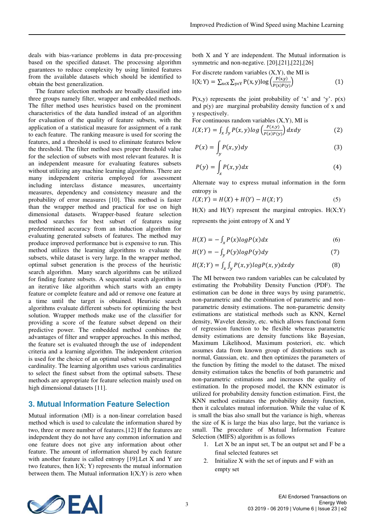deals with bias-variance problems in data pre-processing based on the specified dataset. The processing algorithm guarantees to reduce complexity by using limited features from the available datasets which should be identified to obtain the best generalization.

The feature selection methods are broadly classified into three groups namely filter, wrapper and embedded methods. The filter method uses heuristics based on the prominent characteristics of the data handled instead of an algorithm for evaluation of the quality of feature subsets, with the application of a statistical measure for assignment of a rank to each feature. The ranking measure is used for scoring the features, and a threshold is used to eliminate features below the threshold. The filter method uses proper threshold value for the selection of subsets with most relevant features. It is an independent measure for evaluating features subsets without utilizing any machine learning algorithms. There are many independent criteria employed for assessment including interclass distance measures, uncertainty measures, dependency and consistency measure and the probability of error measures [10]. This method is faster than the wrapper method and practical for use on high dimensional datasets. Wrapper-based feature selection method searches for best subset of features using predetermined accuracy from an induction algorithm for evaluating generated subsets of features. The method may produce improved performance but is expensive to run. This method utilizes the learning algorithms to evaluate the subsets, while dataset is very large. In the wrapper method, optimal subset generation is the process of the heuristic search algorithm. Many search algorithms can be utilized for finding feature subsets. A sequential search algorithm is an iterative like algorithm which starts with an empty feature or complete feature and add or remove one feature at a time until the target is obtained. Heuristic search algorithms evaluate different subsets for optimizing the best solution. Wrapper methods make use of the classifier for providing a score of the feature subset depend on their predictive power. The embedded method combines the advantages of filter and wrapper approaches. In this method, the feature set is evaluated through the use of independent criteria and a learning algorithm. The independent criterion is used for the choice of an optimal subset with prearranged cardinality. The learning algorithm uses various cardinalities to select the finest subset from the optimal subsets. These methods are appropriate for feature selection mainly used on high dimensional datasets [11].

## **3. Mutual Information Feature Selection**

Mutual information (MI) is a non-linear correlation based method which is used to calculate the information shared by two, three or more number of features.[12] If the features are independent they do not have any common information and one feature does not give any information about other feature. The amount of information shared by each feature with another feature is called entropy [19].Let X and Y are two features, then  $I(X; Y)$  represents the mutual information between them. The Mutual information  $I(X;Y)$  is zero when both X and Y are independent. The Mutual information is symmetric and non-negative. [20],[21],[22],[26]

For discrete random variables (X,Y), the MI is

$$
I(X; Y) = \sum_{x \in X} \sum_{y \in Y} P(x, y) \log \left( \frac{P(x, y)}{P(x)P(y)} \right)
$$
(1)

 $P(x,y)$  represents the joint probability of 'x' and 'y'.  $p(x)$ and  $p(y)$  are marginal probability density function of x and y respectively.

For continuous random variables (X,Y), MI is

$$
I(X;Y) = \int_{X} \int_{Y} P(x,y) \log \left( \frac{P(x,y)}{P(x)P(y)} \right) dxdy
$$
 (2)

$$
P(x) = \int_{y} P(x, y) dy
$$
 (3)

$$
P(y) = \int_{x} P(x, y) dx
$$
 (4)

Alternate way to express mutual information in the form entropy is

$$
I(X;Y) = H(X) + H(Y) - H(X;Y)
$$
 (5)

 $H(X)$  and  $H(Y)$  represent the marginal entropies.  $H(X;Y)$ represents the joint entropy of X and Y

$$
H(X) = -\int_{X} P(x) \log P(x) dx \tag{6}
$$

$$
H(Y) = -\int_{y} P(y) \log P(y) dy
$$
 (7)

$$
H(X;Y) = \int_{x} \int_{y} P(x,y) \log P(x,y) dx dy
$$
 (8)

The MI between two random variables can be calculated by estimating the Probability Density Function (PDF). The estimation can be done in three ways by using parametric, non-parametric and the combination of parametric and nonparametric density estimations. The non-parametric density estimations are statistical methods such as KNN, Kernel density, Wavelet density, etc. which allows functional form of regression function to be flexible whereas parametric density estimations are density functions like Bayesian, Maximum Likelihood, Maximum posteriori, etc. which assumes data from known group of distributions such as normal, Gaussian, etc. and then optimizes the parameters of the function by fitting the model to the dataset. The mixed density estimation takes the benefits of both parametric and non-parametric estimations and increases the quality of estimation. In the proposed model, the KNN estimator is utilized for probability density function estimation. First, the KNN method estimates the probability density function, then it calculates mutual information. While the value of K is small the bias also small but the variance is high, whereas the size of K is large the bias also large, but the variance is small. The procedure of Mutual Information Feature Selection (MIFS) algorithm is as follows

- 1. Let X be an input set, T be an output set and F be a final selected features set
- 2. Initialize X with the set of inputs and F with an empty set

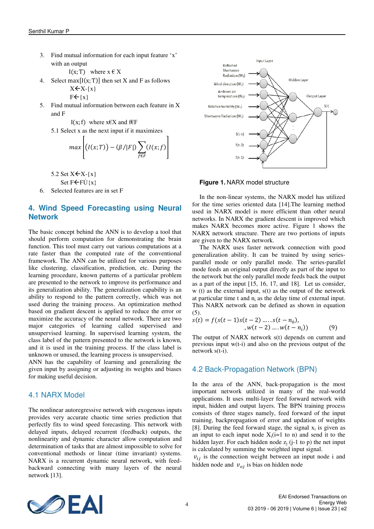3. Find mutual information for each input feature 'x' with an output

I(x; T) where  $x \in X$ 

4. Select max $[I(x; T)]$  then set X and F as follows  $X \leftarrow X - \{x\}$ 

$$
F\leftarrow \{x\}
$$

5. Find mutual information between each feature in X and F

I(x; f) where  $x \in X$  and  $f \in F$ 

5.1 Select x as the next input if it maximizes

$$
max \left[ (I(x;T)) - (\beta/|F|) \sum_{f \in F} (I(x;f)) \right]
$$

5.2 Set  $X \leftarrow X - \{x\}$ 

Set  $F \leftarrow F \dot{\cup} \{x\}$ 

6. Selected features are in set F

## **4. Wind Speed Forecasting using Neural Network**

The basic concept behind the ANN is to develop a tool that should perform computation for demonstrating the brain function. This tool must carry out various computations at a rate faster than the computed rate of the conventional framework. The ANN can be utilized for various purposes like clustering, classification, prediction, etc. During the learning procedure, known patterns of a particular problem are presented to the network to improve its performance and its generalization ability. The generalization capability is an ability to respond to the pattern correctly, which was not used during the training process. An optimization method based on gradient descent is applied to reduce the error or maximize the accuracy of the neural network. There are two major categories of learning called supervised and unsupervised learning. In supervised learning system, the class label of the pattern presented to the network is known, and it is used in the training process. If the class label is unknown or unused, the learning process is unsupervised.

ANN has the capability of learning and generalizing the given input by assigning or adjusting its weights and biases for making useful decision.

#### 4.1 NARX Model

The nonlinear autoregressive network with exogenous inputs provides very accurate chaotic time series prediction that perfectly fits to wind speed forecasting. This network with delayed inputs, delayed recurrent (feedback) outputs, the nonlinearity and dynamic character allow computation and determination of tasks that are almost impossible to solve for conventional methods or linear (time invariant) systems. NARX is a recurrent dynamic neural network, with feedbackward connecting with many layers of the neural network [13].



**Figure 1.** NARX model structure

In the non-linear systems, the NARX model has utilized for the time series oriented data [14].The learning method used in NARX model is more efficient than other neural networks. In NARX the gradient descent is improved which makes NARX becomes more active. Figure 1 shows the NARX network structure. There are two portions of inputs are given to the NARX network.

The NARX uses faster network connection with good generalization ability. It can be trained by using seriesparallel mode or only parallel mode. The series-parallel mode feeds an original output directly as part of the input to the network but the only parallel mode feeds back the output as a part of the input [15, 16, 17, and 18]. Let us consider, w (t) as the external input, s(t) as the output of the network at particular time  $t$  and  $n_i$  as the delay time of external input. This NARX network can be defined as shown in equation (5).

$$
s(t) = f(s(t-1)s(t-2) \dots s(t-n_0),W(t-2) \dots W(t-n_i))
$$
 (9)

The output of NARX network s(t) depends on current and previous input w(t-i) and also on the previous output of the network s(t-i).

## 4.2 Back-Propagation Network (BPN)

In the area of the ANN, back-propagation is the most important network utilized in many of the real-world applications. It uses multi-layer feed forward network with input, hidden and output layers. The BPN training process consists of three stages namely, feed forward of the input training, backpropagation of error and updation of weights [8]. During the feed forward stage, the signal  $x_i$  is given as an input to each input node  $X_i(i=1$  to n) and send it to the hidden layer. For each hidden node  $z_i$  (j-1 to p) the net input is calculated by summing the weighted input signal.

 $v_{ij}$  is the connection weight between an input node i and hidden node and  $v_{oi}$  is bias on hidden node

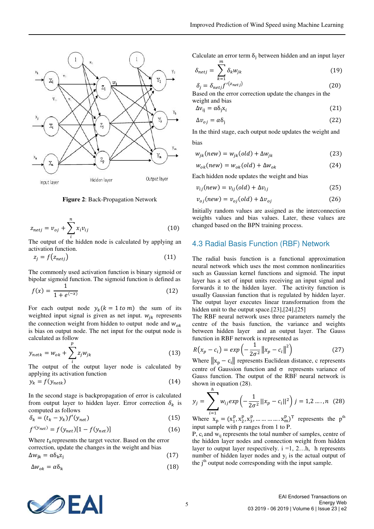

 **Figure 2**: Back-Propagation Network

$$
z_{netj} = v_{oj} + \sum_{i}^{n} x_i v_{ij}
$$
 (10)

The output of the hidden node is calculated by applying an activation function.

$$
z_j = f(z_{netj}) \tag{11}
$$

The commonly used activation function is binary sigmoid or bipolar sigmoid function. The sigmoid function is defined as

$$
f(x) = \frac{1}{1 + e^{(-x)}}\tag{12}
$$

For each output node  $y_k (k = 1 \text{ to } m)$  the sum of its weighted input signal is given as net input.  $w_{jk}$  represents the connection weight from hidden to output node and  $w_{ok}$ is bias on output node. The net input for the output node is calculated as follow

$$
y_{netk} = w_{ok} + \sum_{i}^{p} z_j w_{jk}
$$
 (13)

The output of the output layer node is calculated by applying its activation function

$$
y_k = f(y_{netk})
$$
 (14)

In the second stage is backpropagation of error is calculated from output layer to hidden layer. Error correction  $\delta_k$  is computed as follows

$$
\delta_k = (t_k - y_k)f'(y_{net})
$$
\n(15)

$$
f^{\prime(y_{net})} = f(y_{net})[1 - f(y_{net})]
$$
 (16)

Where  $t_k$  represents the target vector. Based on the error correction, update the changes in the weight and bias  $\Delta w_{ik} = \alpha \delta_k z_i$ (17)

$$
\Delta w_{ok} = \alpha \delta_{k} \tag{18}
$$

Calculate an error term  $\delta_j$  between hidden and an input layer  $\frac{m}{2}$ 

$$
\delta_{netj} = \sum_{k=1} \delta_k w_{jk} \tag{19}
$$

$$
\delta_j = \delta_{netj} f'^{(z_{netj})}
$$
\nBased on the error correction update the changes in the

weight and bias

$$
\Delta \mathbf{v}_{ij} = \alpha \mathbf{\delta}_j \mathbf{x}_i \tag{21}
$$

$$
\Delta v_{oj} = \alpha \delta_j \tag{22}
$$

In the third stage, each output node updates the weight and bias

$$
w_{jk}(new) = w_{jk}(old) + \Delta w_{jk}
$$
 (23)

$$
w_{ok}(new) = w_{ok}(old) + \Delta w_{ok}
$$
 (24)

Each hidden node updates the weight and bias

$$
v_{ij}(new) = v_{ij}(old) + \Delta v_{ij}
$$
 (25)

$$
v_{oj}(new) = v_{oj}(old) + \Delta v_{oj}
$$
 (26)

Initially random values are assigned as the interconnection weights values and bias values. Later, these values are changed based on the BPN training process.

#### 4.3 Radial Basis Function (RBF) Network

The radial basis function is a functional approximation neural network which uses the most common nonlinearities such as Gaussian kernel functions and sigmoid. The input layer has a set of input units receiving an input signal and forwards it to the hidden layer. The activity function is usually Gaussian function that is regulated by hidden layer. The output layer executes linear transformation from the hidden unit to the output space.[23],[24],[25]

The RBF neural network uses three parameters namely the centre of the basis function, the variance and weights between hidden layer and an output layer. The Gauss function in RBF network is represented as

$$
R(x_p - c_i) = exp\left(-\frac{1}{2\sigma^2} ||x_p - c_i||^2\right)
$$
 (27)

Where  $||x_p - c_i||$  represents Euclidean distance, c represents centre of Gaussion function and  $\sigma$  represents variance of Gauss function. The output of the RBF neural network is shown in equation (28). ℎ

$$
y_j = \sum_{i=1}^{\infty} w_{ij} exp\left(-\frac{1}{2\sigma^2}||x_p - c_i||^2\right) j = 1, 2, ..., n \quad (28)
$$

Where  $x_p = (x_1^p, x_2^p, x_3^p, ..., ..., ..., x_m^p)^T$  represents the p<sup>th</sup> input sample with p ranges from 1 to P.

P, c<sub>i</sub> and w<sub>ij</sub> represents the total number of samples, centre of the hidden layer nodes and connection weight from hidden layer to output layer respectively.  $i = 1, 2...h$ , h represents number of hidden layer nodes and  $y_j$  is the actual output of the  $j<sup>th</sup>$  output node corresponding with the input sample.

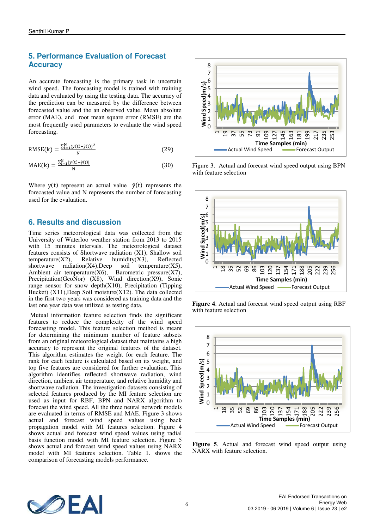# **5. Performance Evaluation of Forecast Accuracy**

An accurate forecasting is the primary task in uncertain wind speed. The forecasting model is trained with training data and evaluated by using the testing data. The accuracy of the prediction can be measured by the difference between forecasted value and the an observed value. Mean absolute error (MAE), and root mean square error (RMSE) are the most frequently used parameters to evaluate the wind speed forecasting.

$$
RMSE(k) = \frac{\sum_{t=1}^{N} (y(t) - \hat{y}(t))^2}{N}
$$
 (29)

$$
MAE(k) = \frac{\sum_{t=1}^{N} |y(t) - \hat{y}(t)|}{N}
$$
(30)

Where  $y(t)$  represent an actual value  $\hat{y}(t)$  represents the forecasted value and N represents the number of forecasting used for the evaluation.

# **6. Results and discussion**

Time series meteorological data was collected from the University of Waterloo weather station from 2013 to 2015 with 15 minutes intervals. The meteorological dataset features consists of Shortwave radiation  $(X1)$ , Shallow soil temperature  $(X2)$ , Relative humidity  $(X3)$ , Reflected Relative humidity(X3), Reflected<br>on(X4), Deep soil temperature(X5), shortwave radiation $(X4)$ , Deep Ambient air temperature(X6), Barometric pressure(X7), Precipitation(GeoNor) (X8), Wind direction(X9), Sonic range sensor for snow depth $(X10)$ , Precipitation (Tipping Bucket) (X11),Deep Soil moisture(X12). The data collected in the first two years was considered as training data and the last one year data was utilized as testing data.

 Mutual information feature selection finds the significant features to reduce the complexity of the wind speed forecasting model. This feature selection method is meant for determining the minimum number of feature subsets from an original meteorological dataset that maintains a high accuracy to represent the original features of the dataset. This algorithm estimates the weight for each feature. The rank for each feature is calculated based on its weight, and top five features are considered for further evaluation. This algorithm identifies reflected shortwave radiation, wind direction, ambient air temperature, and relative humidity and shortwave radiation. The investigation datasets consisting of selected features produced by the MI feature selection are used as input for RBF, BPN and NARX algorithm to forecast the wind speed. All the three neural network models are evaluated in terms of RMSE and MAE. Figure 3 shows actual and forecast wind speed values using back propagation model with MI features selection. Figure 4 shows actual and forecast wind speed values using radial basis function model with MI feature selection. Figure 5 shows actual and forecast wind speed values using NARX model with MI features selection. Table 1. shows the comparison of forecasting models performance.



Figure 3. Actual and forecast wind speed output using BPN with feature selection



**Figure 4**. Actual and forecast wind speed output using RBF with feature selection



**Figure 5.** Actual and forecast wind speed output using NARX with feature selection.